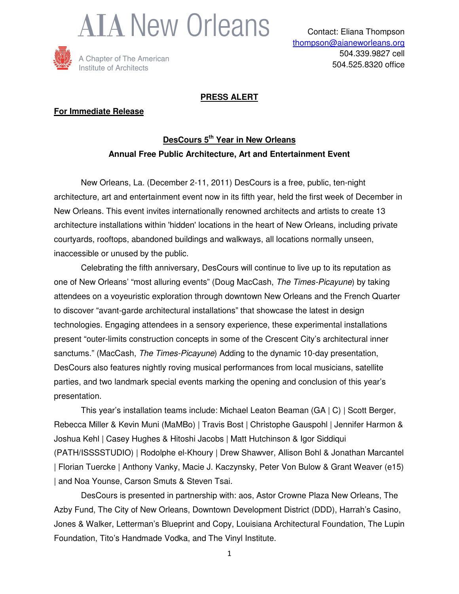



## **PRESS ALERT**

## **For Immediate Release**

## **DesCours 5th Year in New Orleans Annual Free Public Architecture, Art and Entertainment Event**

 New Orleans, La. (December 2-11, 2011) DesCours is a free, public, ten-night architecture, art and entertainment event now in its fifth year, held the first week of December in New Orleans. This event invites internationally renowned architects and artists to create 13 architecture installations within 'hidden' locations in the heart of New Orleans, including private courtyards, rooftops, abandoned buildings and walkways, all locations normally unseen, inaccessible or unused by the public.

Celebrating the fifth anniversary, DesCours will continue to live up to its reputation as one of New Orleans' "most alluring events" (Doug MacCash, The Times-Picayune) by taking attendees on a voyeuristic exploration through downtown New Orleans and the French Quarter to discover "avant-garde architectural installations" that showcase the latest in design technologies. Engaging attendees in a sensory experience, these experimental installations present "outer-limits construction concepts in some of the Crescent City's architectural inner sanctums." (MacCash, The Times-Picayune) Adding to the dynamic 10-day presentation, DesCours also features nightly roving musical performances from local musicians, satellite parties, and two landmark special events marking the opening and conclusion of this year's presentation.

 This year's installation teams include: Michael Leaton Beaman (GA | C) | Scott Berger, Rebecca Miller & Kevin Muni (MaMBo) | Travis Bost | Christophe Gauspohl | Jennifer Harmon & Joshua Kehl | Casey Hughes & Hitoshi Jacobs | Matt Hutchinson & Igor Siddiqui (PATH/ISSSSTUDIO) | Rodolphe el-Khoury | Drew Shawver, Allison Bohl & Jonathan Marcantel | Florian Tuercke | Anthony Vanky, Macie J. Kaczynsky, Peter Von Bulow & Grant Weaver (e15) | and Noa Younse, Carson Smuts & Steven Tsai.

DesCours is presented in partnership with: aos, Astor Crowne Plaza New Orleans, The Azby Fund, The City of New Orleans, Downtown Development District (DDD), Harrah's Casino, Jones & Walker, Letterman's Blueprint and Copy, Louisiana Architectural Foundation, The Lupin Foundation, Tito's Handmade Vodka, and The Vinyl Institute.